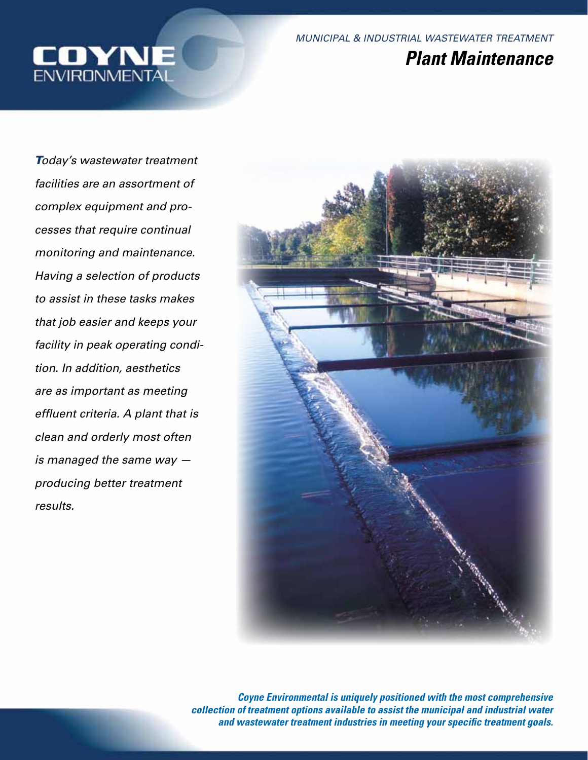

*Today's wastewater treatment facilities are an assortment of complex equipment and processes that require continual monitoring and maintenance. Having a selection of products to assist in these tasks makes that job easier and keeps your facility in peak operating condition. In addition, aesthetics are as important as meeting effluent criteria. A plant that is clean and orderly most often is managed the same way producing better treatment results.*



*Coyne Environmental is uniquely positioned with the most comprehensive collection of treatment options available to assist the municipal and industrial water and wastewater treatment industries in meeting your specific treatment goals.*